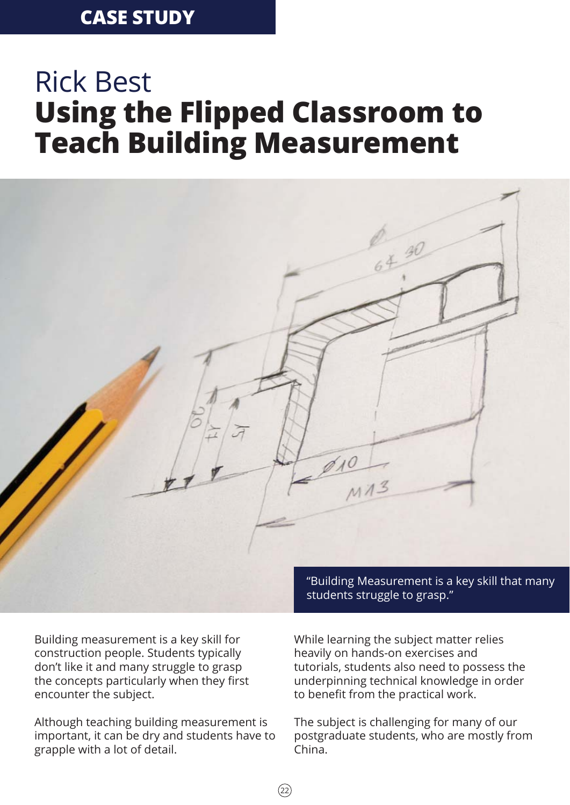# **CASE STUDY**

# Rick Best **Using the Flipped Classroom to Teach Building Measurement**



Building measurement is a key skill for construction people. Students typically don't like it and many struggle to grasp the concepts particularly when they first encounter the subject.

Although teaching building measurement is important, it can be dry and students have to grapple with a lot of detail.

While learning the subject matter relies heavily on hands-on exercises and tutorials, students also need to possess the underpinning technical knowledge in order to benefit from the practical work.

The subject is challenging for many of our postgraduate students, who are mostly from China.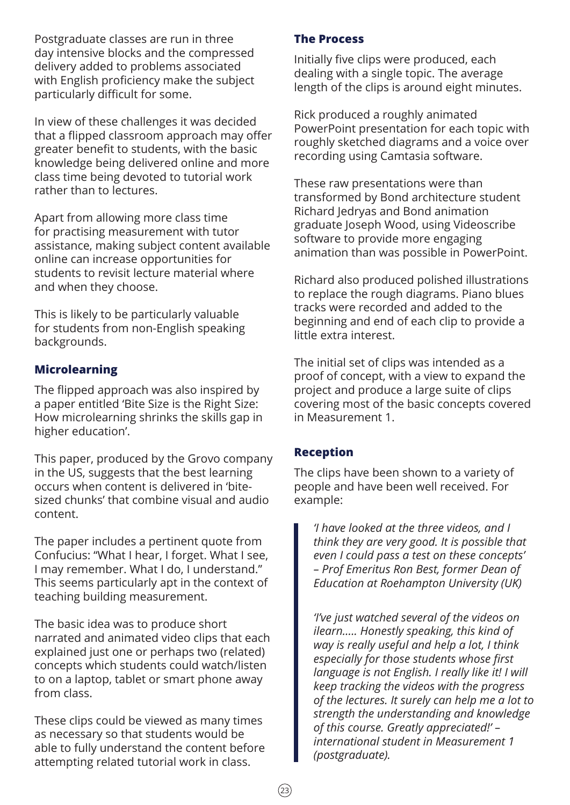Postgraduate classes are run in three day intensive blocks and the compressed delivery added to problems associated with English proficiency make the subject particularly difficult for some.

In view of these challenges it was decided that a flipped classroom approach may offer greater benefit to students, with the basic knowledge being delivered online and more class time being devoted to tutorial work rather than to lectures.

Apart from allowing more class time for practising measurement with tutor assistance, making subject content available online can increase opportunities for students to revisit lecture material where and when they choose.

This is likely to be particularly valuable for students from non-English speaking backgrounds.

# **Microlearning**

The flipped approach was also inspired by a paper entitled 'Bite Size is the Right Size: How microlearning shrinks the skills gap in higher education'.

This paper, produced by the Grovo company in the US, suggests that the best learning occurs when content is delivered in 'bitesized chunks' that combine visual and audio content.

The paper includes a pertinent quote from Confucius: "What I hear, I forget. What I see, I may remember. What I do, I understand." This seems particularly apt in the context of teaching building measurement.

The basic idea was to produce short narrated and animated video clips that each explained just one or perhaps two (related) concepts which students could watch/listen to on a laptop, tablet or smart phone away from class.

These clips could be viewed as many times as necessary so that students would be able to fully understand the content before attempting related tutorial work in class.

#### **The Process**

Initially five clips were produced, each dealing with a single topic. The average length of the clips is around eight minutes.

Rick produced a roughly animated PowerPoint presentation for each topic with roughly sketched diagrams and a voice over recording using Camtasia software.

These raw presentations were than transformed by Bond architecture student Richard Jedryas and Bond animation graduate Joseph Wood, using Videoscribe software to provide more engaging animation than was possible in PowerPoint.

Richard also produced polished illustrations to replace the rough diagrams. Piano blues tracks were recorded and added to the beginning and end of each clip to provide a little extra interest.

The initial set of clips was intended as a proof of concept, with a view to expand the project and produce a large suite of clips covering most of the basic concepts covered in Measurement 1.

#### **Reception**

The clips have been shown to a variety of people and have been well received. For example:

*'I have looked at the three videos, and I think they are very good. It is possible that even I could pass a test on these concepts' – Prof Emeritus Ron Best, former Dean of Education at Roehampton University (UK)*

*'I've just watched several of the videos on ilearn….. Honestly speaking, this kind of way is really useful and help a lot, I think especially for those students whose first language is not English. I really like it! I will keep tracking the videos with the progress of the lectures. It surely can help me a lot to strength the understanding and knowledge of this course. Greatly appreciated!' – international student in Measurement 1 (postgraduate).*